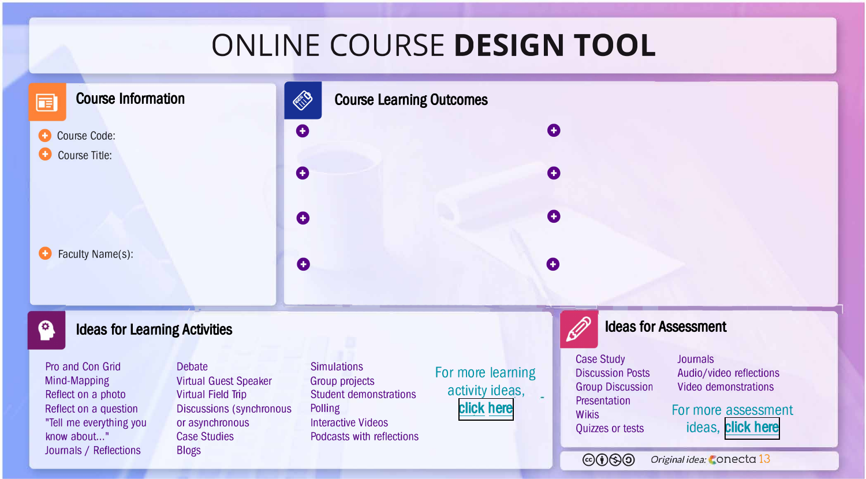## **ONLINE COURSE DESIGN TOOL**





## **Ideas for Learning Activities**

Pro and Con Grid Mind-Mapping Reflect on a photo Reflect on a question "Tell me everything you know about..." Journals / Reflections

**Debate** Virtual Guest Speaker Virtual Field Trip Discussions (synchronous or asynchronous Case Studies Biogs

**Simulations** Group projects Student demonstrations Polling Interactive Videos Podcasts with reflections

For more learning activity ideas, [click here](https://view.genial.ly/5e8f875aa0febd0e1fe85ff2)

Case Study Discussion Posts Group Discussion **Presentation Wikis** Quizzes or tests

**Journals** Audio/video reflections Video demonstrations

**Ideas for Assessment** 

For more assessment ideas, [click here](https://view.genial.ly/5e8f875aa0febd0e1fe85ff2)

@ <sup>(1</sup>) **(3)** Original idea: **Conecta 13**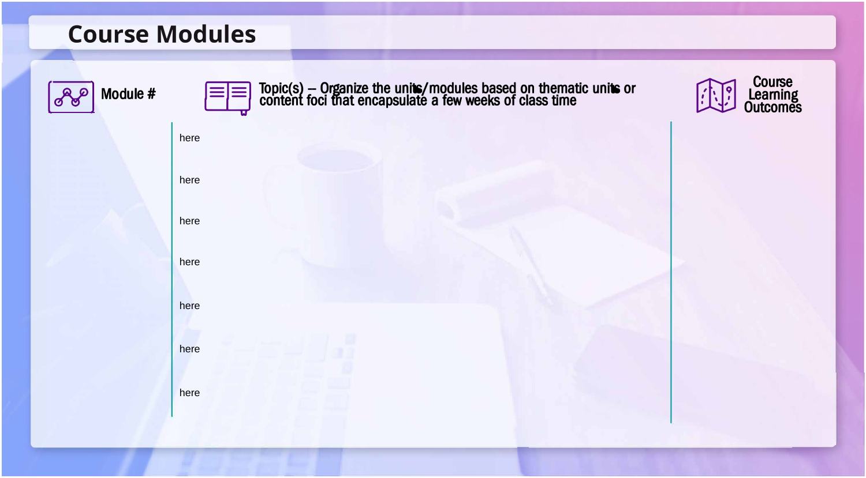## **Course Modules**

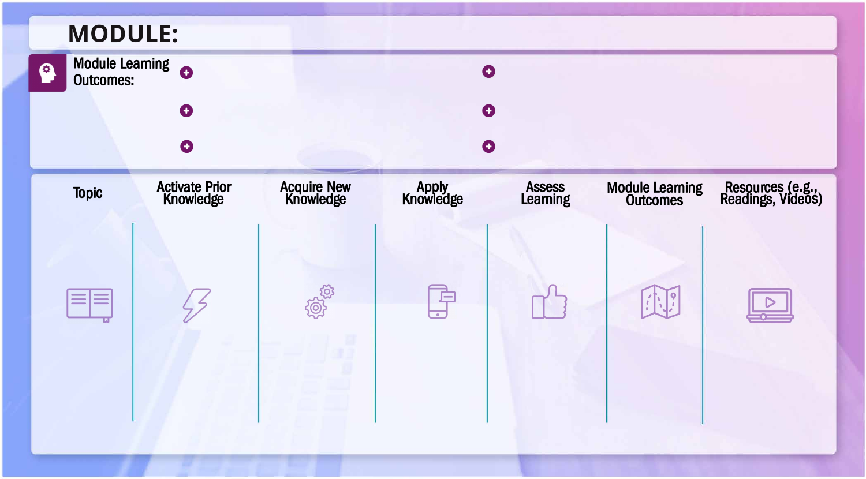